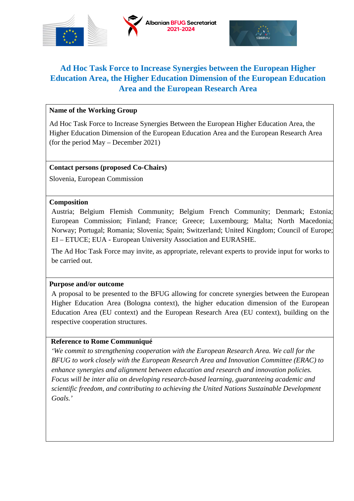

# **Ad Hoc Task Force to Increase Synergies between the European Higher Education Area, the Higher Education Dimension of the European Education Area and the European Research Area**

### **Name of the Working Group**

Ad Hoc Task Force to Increase Synergies Between the European Higher Education Area, the Higher Education Dimension of the European Education Area and the European Research Area (for the period May – December 2021)

### **Contact persons (proposed Co-Chairs)**

Slovenia, European Commission

### **Composition**

Austria; Belgium Flemish Community; Belgium French Community; Denmark; Estonia; European Commission; Finland; France; Greece; Luxembourg; Malta; North Macedonia; Norway; Portugal; Romania; Slovenia; Spain; Switzerland; United Kingdom; Council of Europe; EI – ETUCE; EUA - European University Association and EURASHE.

The Ad Hoc Task Force may invite, as appropriate, relevant experts to provide input for works to be carried out.

#### **Purpose and/or outcome**

A proposal to be presented to the BFUG allowing for concrete synergies between the European Higher Education Area (Bologna context), the higher education dimension of the European Education Area (EU context) and the European Research Area (EU context), building on the respective cooperation structures.

### **Reference to Rome Communiqué**

*'We commit to strengthening cooperation with the European Research Area. We call for the BFUG to work closely with the European Research Area and Innovation Committee (ERAC) to enhance synergies and alignment between education and research and innovation policies. Focus will be inter alia on developing research-based learning, guaranteeing academic and scientific freedom, and contributing to achieving the United Nations Sustainable Development Goals.'*